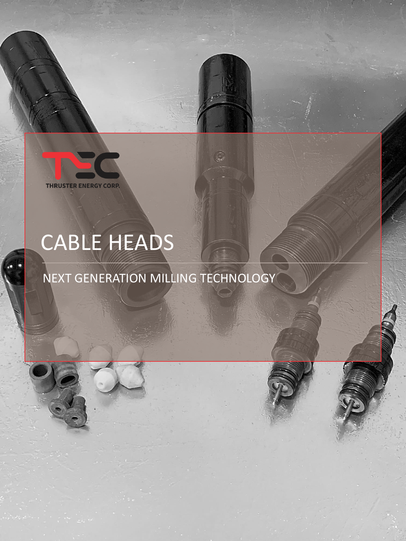THRUSTER ENERGY CORP.

# CABLE HEADS

# NEXT GENERATION MILLING TECHNOLOGY



G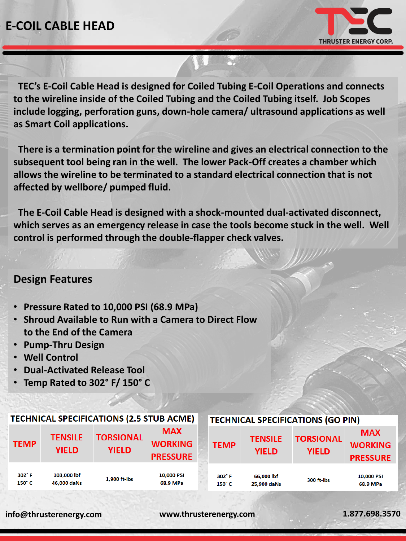## **E-COIL CABLE HEAD**



**TEC's E-Coil Cable Head is designed for Coiled Tubing E-Coil Operations and connects to the wireline inside of the Coiled Tubing and the Coiled Tubing itself. Job Scopes include logging, perforation guns, down-hole camera/ ultrasound applications as well as Smart Coil applications.**

**There is a termination point for the wireline and gives an electrical connection to the subsequent tool being ran in the well. The lower Pack-Off creates a chamber which allows the wireline to be terminated to a standard electrical connection that is not affected by wellbore/ pumped fluid.**

**The E-Coil Cable Head is designed with a shock-mounted dual-activated disconnect,**  which serves as an emergency release in case the tools become stuck in the well. Well **control is performed through the double-flapper check valves.**

#### **Design Features**

- **Pressure Rated to 10,000 PSI (68.9 MPa)**
- **Shroud Available to Run with a Camera to Direct Flow to the End of the Camera**
- **Pump-Thru Design**
- **Well Control**
- **Dual-Activated Release Tool**
- **Temp Rated to 302° F/ 150° C**

| <b>TECHNICAL SPECIFICATIONS (2.5 STUB ACME)</b> |                                |                                  |                                                 |  | <b>TECHNICAL SPECIFICATIONS (GO PIN)</b> |                                |                                  |                                                 |
|-------------------------------------------------|--------------------------------|----------------------------------|-------------------------------------------------|--|------------------------------------------|--------------------------------|----------------------------------|-------------------------------------------------|
| <b>TEMP</b>                                     | <b>TENSILE</b><br><b>YIELD</b> | <b>TORSIONAL</b><br><b>YIELD</b> | <b>MAX</b><br><b>WORKING</b><br><b>PRESSURE</b> |  | <b>TEMP</b>                              | <b>TENSILE</b><br><b>YIELD</b> | <b>TORSIONAL</b><br><b>YIELD</b> | <b>MAX</b><br><b>WORKING</b><br><b>PRESSURE</b> |
| $302^\circ$ F<br>$150^\circ C$                  | 103,000 lbf<br>46,000 daNs     | 1,900 ft-lbs                     | 10,000 PSI<br>68.9 MPa                          |  | $302^\circ$ F<br>$150^\circ C$           | 66,000 lbf<br>25,900 daNs      | 300 ft-lbs                       | 10,000 PSI<br>68.9 MPa                          |

#### **info@thrusterenergy.com www.thrusterenergy.com 1.877.698.3570**